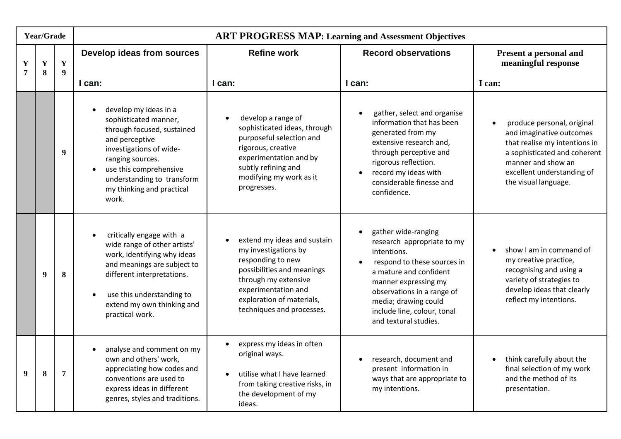| Year/Grade                    |        |                                 | <b>ART PROGRESS MAP: Learning and Assessment Objectives</b>                                                                                                                                                                                 |                                                                                                                                                                                                                              |                                                                                                                                                                                                                                                                 |                                                                                                                                                                                                     |  |
|-------------------------------|--------|---------------------------------|---------------------------------------------------------------------------------------------------------------------------------------------------------------------------------------------------------------------------------------------|------------------------------------------------------------------------------------------------------------------------------------------------------------------------------------------------------------------------------|-----------------------------------------------------------------------------------------------------------------------------------------------------------------------------------------------------------------------------------------------------------------|-----------------------------------------------------------------------------------------------------------------------------------------------------------------------------------------------------|--|
| $\mathbf Y$<br>$\overline{7}$ | Y<br>8 | $\mathbf Y$<br>$\boldsymbol{9}$ | Develop ideas from sources                                                                                                                                                                                                                  | <b>Refine work</b>                                                                                                                                                                                                           | <b>Record observations</b>                                                                                                                                                                                                                                      | Present a personal and<br>meaningful response                                                                                                                                                       |  |
|                               |        |                                 | I can:                                                                                                                                                                                                                                      | I can:                                                                                                                                                                                                                       | I can:                                                                                                                                                                                                                                                          | I can:                                                                                                                                                                                              |  |
|                               |        | $\boldsymbol{9}$                | develop my ideas in a<br>sophisticated manner,<br>through focused, sustained<br>and perceptive<br>investigations of wide-<br>ranging sources.<br>use this comprehensive<br>understanding to transform<br>my thinking and practical<br>work. | develop a range of<br>$\bullet$<br>sophisticated ideas, through<br>purposeful selection and<br>rigorous, creative<br>experimentation and by<br>subtly refining and<br>modifying my work as it<br>progresses.                 | gather, select and organise<br>information that has been<br>generated from my<br>extensive research and,<br>through perceptive and<br>rigorous reflection.<br>record my ideas with<br>$\bullet$<br>considerable finesse and<br>confidence.                      | produce personal, original<br>and imaginative outcomes<br>that realise my intentions in<br>a sophisticated and coherent<br>manner and show an<br>excellent understanding of<br>the visual language. |  |
|                               | 9      | 8                               | critically engage with a<br>wide range of other artists'<br>work, identifying why ideas<br>and meanings are subject to<br>different interpretations.<br>use this understanding to<br>extend my own thinking and<br>practical work.          | extend my ideas and sustain<br>$\bullet$<br>my investigations by<br>responding to new<br>possibilities and meanings<br>through my extensive<br>experimentation and<br>exploration of materials,<br>techniques and processes. | gather wide-ranging<br>research appropriate to my<br>intentions.<br>respond to these sources in<br>a mature and confident<br>manner expressing my<br>observations in a range of<br>media; drawing could<br>include line, colour, tonal<br>and textural studies. | show I am in command of<br>my creative practice,<br>recognising and using a<br>variety of strategies to<br>develop ideas that clearly<br>reflect my intentions.                                     |  |
| 9                             | 8      | $\overline{7}$                  | analyse and comment on my<br>own and others' work,<br>appreciating how codes and<br>conventions are used to<br>express ideas in different<br>genres, styles and traditions.                                                                 | express my ideas in often<br>$\bullet$<br>original ways.<br>utilise what I have learned<br>$\bullet$<br>from taking creative risks, in<br>the development of my<br>ideas.                                                    | research, document and<br>present information in<br>ways that are appropriate to<br>my intentions.                                                                                                                                                              | think carefully about the<br>final selection of my work<br>and the method of its<br>presentation.                                                                                                   |  |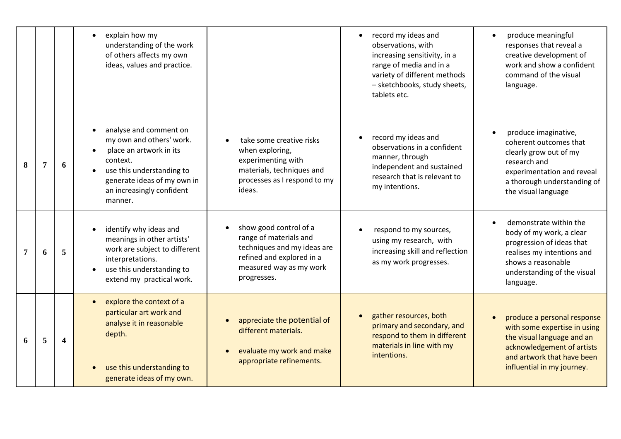|   |   |                         | explain how my<br>understanding of the work<br>of others affects my own<br>ideas, values and practice.                                                                                        |                                                                                                                                                        | record my ideas and<br>observations, with<br>increasing sensitivity, in a<br>range of media and in a<br>variety of different methods<br>- sketchbooks, study sheets,<br>tablets etc. | produce meaningful<br>responses that reveal a<br>creative development of<br>work and show a confident<br>command of the visual<br>language.                                                  |
|---|---|-------------------------|-----------------------------------------------------------------------------------------------------------------------------------------------------------------------------------------------|--------------------------------------------------------------------------------------------------------------------------------------------------------|--------------------------------------------------------------------------------------------------------------------------------------------------------------------------------------|----------------------------------------------------------------------------------------------------------------------------------------------------------------------------------------------|
| 8 | 7 | 6                       | analyse and comment on<br>my own and others' work.<br>place an artwork in its<br>context.<br>use this understanding to<br>generate ideas of my own in<br>an increasingly confident<br>manner. | take some creative risks<br>when exploring,<br>experimenting with<br>materials, techniques and<br>processes as I respond to my<br>ideas.               | record my ideas and<br>observations in a confident<br>manner, through<br>independent and sustained<br>research that is relevant to<br>my intentions.                                 | produce imaginative,<br>coherent outcomes that<br>clearly grow out of my<br>research and<br>experimentation and reveal<br>a thorough understanding of<br>the visual language                 |
| 7 | 6 | 5                       | identify why ideas and<br>meanings in other artists'<br>work are subject to different<br>interpretations.<br>use this understanding to<br>extend my practical work.                           | show good control of a<br>range of materials and<br>techniques and my ideas are<br>refined and explored in a<br>measured way as my work<br>progresses. | respond to my sources,<br>using my research, with<br>increasing skill and reflection<br>as my work progresses.                                                                       | demonstrate within the<br>$\bullet$<br>body of my work, a clear<br>progression of ideas that<br>realises my intentions and<br>shows a reasonable<br>understanding of the visual<br>language. |
| 6 | 5 | $\overline{\mathbf{4}}$ | explore the context of a<br>particular art work and<br>analyse it in reasonable<br>depth.<br>use this understanding to<br>generate ideas of my own.                                           | appreciate the potential of<br>different materials.<br>evaluate my work and make<br>appropriate refinements.                                           | gather resources, both<br>$\bullet$<br>primary and secondary, and<br>respond to them in different<br>materials in line with my<br>intentions.                                        | produce a personal response<br>with some expertise in using<br>the visual language and an<br>acknowledgement of artists<br>and artwork that have been<br>influential in my journey.          |